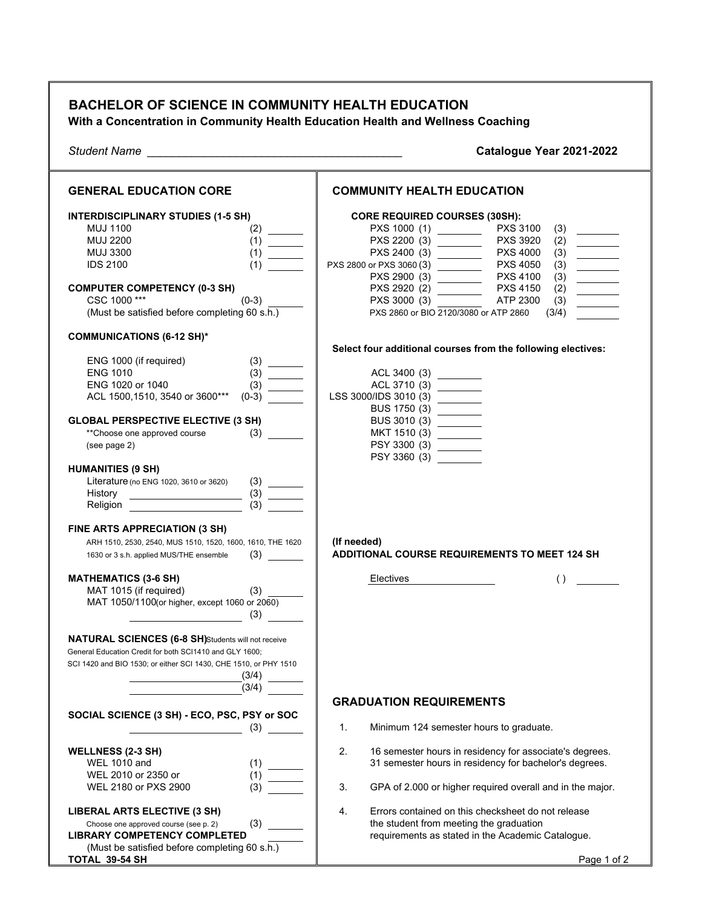| <b>BACHELOR OF SCIENCE IN COMMUNITY HEALTH EDUCATION</b><br>With a Concentration in Community Health Education Health and Wellness Coaching                                                                                                        |                                                                                                                                                                                                                                                                                                                                                                                                                                                   |
|----------------------------------------------------------------------------------------------------------------------------------------------------------------------------------------------------------------------------------------------------|---------------------------------------------------------------------------------------------------------------------------------------------------------------------------------------------------------------------------------------------------------------------------------------------------------------------------------------------------------------------------------------------------------------------------------------------------|
| <b>Student Name</b><br><u> 2000 - 2000 - 2000 - 2000 - 2000 - 2000 - 2000 - 2000 - 2000 - 2000 - 2000 - 2000 - 2000 - 2000 - 2000 - 200</u>                                                                                                        | Catalogue Year 2021-2022                                                                                                                                                                                                                                                                                                                                                                                                                          |
| <b>GENERAL EDUCATION CORE</b>                                                                                                                                                                                                                      | <b>COMMUNITY HEALTH EDUCATION</b>                                                                                                                                                                                                                                                                                                                                                                                                                 |
| <b>INTERDISCIPLINARY STUDIES (1-5 SH)</b><br><b>MUJ 1100</b><br>$(2)$ —<br><b>MUJ 2200</b><br><b>MUJ 3300</b><br><b>IDS 2100</b><br><b>COMPUTER COMPETENCY (0-3 SH)</b><br>CSC 1000***<br>$(0-3)$<br>(Must be satisfied before completing 60 s.h.) | <b>CORE REQUIRED COURSES (30SH):</b><br><b>PXS 3100</b><br>PXS 3920<br>(2)<br><b>PXS 4000</b><br>$\begin{array}{c} (3) \\ (3) \\ (3) \\ (3) \end{array}$<br>PXS 2800 or PXS 3060 (3)<br><b>PXS 4050</b><br><b>PXS 4100</b><br><b>PXS 4150</b><br>(2)<br>$\frac{1}{2} \left( \frac{1}{2} \right)^2 \left( \frac{1}{2} \right)^2 \left( \frac{1}{2} \right)^2$<br>PXS 3000 (3)<br>ATP 2300<br>(3)<br>PXS 2860 or BIO 2120/3080 or ATP 2860<br>(3/4) |
| <b>COMMUNICATIONS (6-12 SH)*</b>                                                                                                                                                                                                                   | Select four additional courses from the following electives:                                                                                                                                                                                                                                                                                                                                                                                      |
| ENG 1000 (if required)<br><b>ENG 1010</b><br>ENG 1020 or 1040<br>ACL 1500,1510, 3540 or 3600***<br>$(0-3)$<br><b>GLOBAL PERSPECTIVE ELECTIVE (3 SH)</b><br>**Choose one approved course<br>(3)<br>(see page 2)                                     | ACL 3400 (3) ________<br>LSS 3000/IDS 3010 (3) _______<br>BUS 3010 (3) ________<br>PSY 3300 (3) ________                                                                                                                                                                                                                                                                                                                                          |
| <b>HUMANITIES (9 SH)</b><br>Literature (no ENG 1020, 3610 or 3620)<br>$\overline{3}$<br>Religion ______                                                                                                                                            | PSY 3360 (3)                                                                                                                                                                                                                                                                                                                                                                                                                                      |
| FINE ARTS APPRECIATION (3 SH)<br>ARH 1510, 2530, 2540, MUS 1510, 1520, 1600, 1610, THE 1620<br>1630 or 3 s.h. applied MUS/THE ensemble                                                                                                             | (If needed)<br><b>ADDITIONAL COURSE REQUIREMENTS TO MEET 124 SH</b>                                                                                                                                                                                                                                                                                                                                                                               |
| <b>MATHEMATICS (3-6 SH)</b><br>MAT 1015 (if required)<br>(3)<br>MAT 1050/1100(or higher, except 1060 or 2060)<br>(3)<br><b>NATURAL SCIENCES (6-8 SH)</b> Students will not receive<br>General Education Credit for both SCI1410 and GLY 1600;      | Electives<br>$\left( \ \right)$                                                                                                                                                                                                                                                                                                                                                                                                                   |
| SCI 1420 and BIO 1530; or either SCI 1430, CHE 1510, or PHY 1510<br>(3/4)<br>(3/4)                                                                                                                                                                 |                                                                                                                                                                                                                                                                                                                                                                                                                                                   |
| SOCIAL SCIENCE (3 SH) - ECO, PSC, PSY or SOC                                                                                                                                                                                                       | <b>GRADUATION REQUIREMENTS</b>                                                                                                                                                                                                                                                                                                                                                                                                                    |
| (3)                                                                                                                                                                                                                                                | 1.<br>Minimum 124 semester hours to graduate.                                                                                                                                                                                                                                                                                                                                                                                                     |
| <b>WELLNESS (2-3 SH)</b><br><b>WEL 1010 and</b><br>WEL 2010 or 2350 or<br>(1)                                                                                                                                                                      | 2.<br>16 semester hours in residency for associate's degrees.<br>31 semester hours in residency for bachelor's degrees.                                                                                                                                                                                                                                                                                                                           |
| (3)<br>WEL 2180 or PXS 2900                                                                                                                                                                                                                        | GPA of 2.000 or higher required overall and in the major.<br>3.                                                                                                                                                                                                                                                                                                                                                                                   |
| <b>LIBERAL ARTS ELECTIVE (3 SH)</b><br>(3)<br>Choose one approved course (see p. 2)<br><b>LIBRARY COMPETENCY COMPLETED</b><br>(Must be satisfied before completing 60 s.h.)<br>TOTAL 39-54 SH                                                      | 4.<br>Errors contained on this checksheet do not release<br>the student from meeting the graduation<br>requirements as stated in the Academic Catalogue.<br>Page 1 of 2                                                                                                                                                                                                                                                                           |